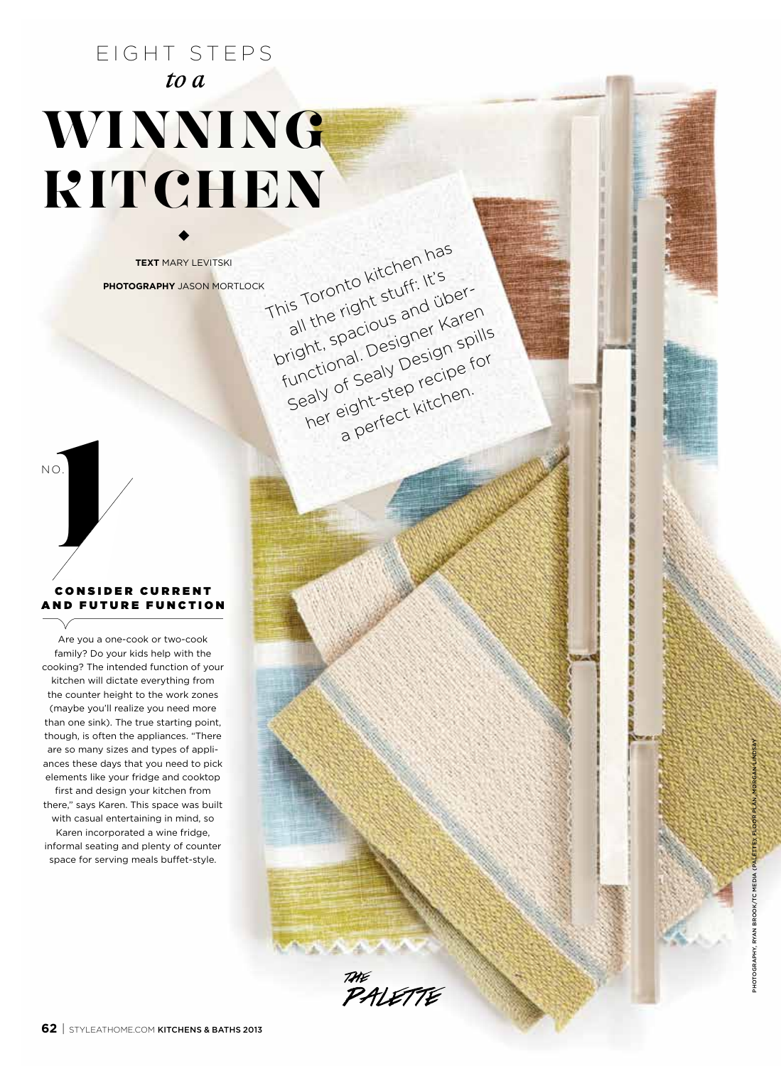# EIGHT STEP *to a*  **Winning Kitchen**

**TEXT** MARY LEVITSKI **pho tography** j ason mortloc This Toronto kitchen has

**1** no.

## CONSIDER CURRENT AND FUTURE FUNCTION

Are you a one-cook or two-cook family? Do your kids help with the cooking? The intended function of your kitchen will dictate everything from the counter height to the work zones (maybe you'll realize you need more than one sink). The true starting point, though, is often the appliances. "There are so many sizes and types of appli ances these days that you need to pick elements like your fridge and cooktop first and design your kitchen from there," says Karen. This space was built with casual entertaining in mind, so Karen incorporated a wine fridge, informal seating and plenty of counter space for serving meals buffet-style.

photography, ryan brook/tc media (palette); floor plan, morgan lindsay

This Toronto all the right stuff: It's and über-<br>bright, spacious and über-<br>bright, spacious and waren<br>functional. Designer spills<br>functional. Designer spills<br>sealy of Sealy Pecipe for<br>her eight-step recipen.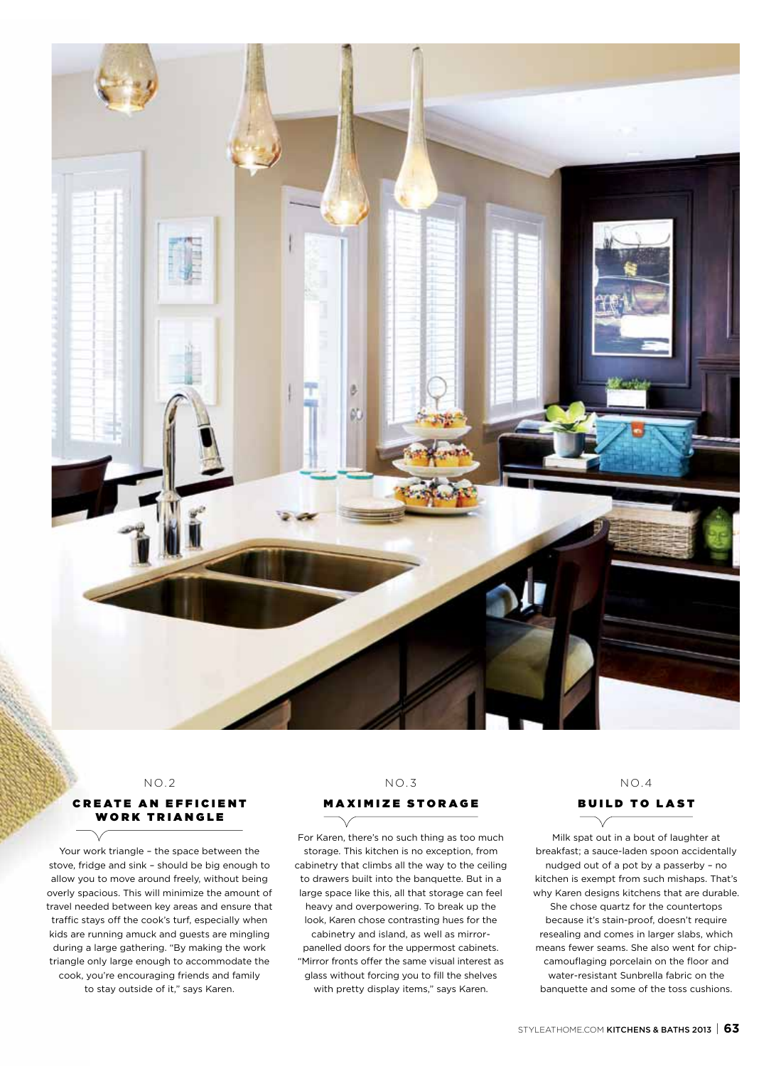

#### $NO.2$

#### **CREATE AN EFFICIENT WORK TRIANGLE**

Your work triangle – the space between the stove, fridge and sink – should be big enough to allow you to move around freely, without being overly spacious. This will minimize the amount of travel needed between key areas and ensure that traffic stays off the cook's turf, especially when kids are running amuck and guests are mingling during a large gathering. "By making the work triangle only large enough to accommodate the cook, you're encouraging friends and family to stay outside of it," says Karen.

# $N<sub>0</sub>$  3

#### **MAXIMIZE STORAGE**

For Karen, there's no such thing as too much storage. This kitchen is no exception, from cabinetry that climbs all the way to the ceiling to drawers built into the banquette. But in a large space like this, all that storage can feel heavy and overpowering. To break up the look, Karen chose contrasting hues for the cabinetry and island, as well as mirrorpanelled doors for the uppermost cabinets. "Mirror fronts offer the same visual interest as glass without forcing you to fill the shelves with pretty display items," says Karen.

# $N \cap 4$

Build to last

Milk spat out in a bout of laughter at breakfast; a sauce-laden spoon accidentally nudged out of a pot by a passerby – no kitchen is exempt from such mishaps. That's why Karen designs kitchens that are durable. She chose quartz for the countertops because it's stain-proof, doesn't require resealing and comes in larger slabs, which means fewer seams. She also went for chipcamouflaging porcelain on the floor and water-resistant Sunbrella fabric on the banquette and some of the toss cushions.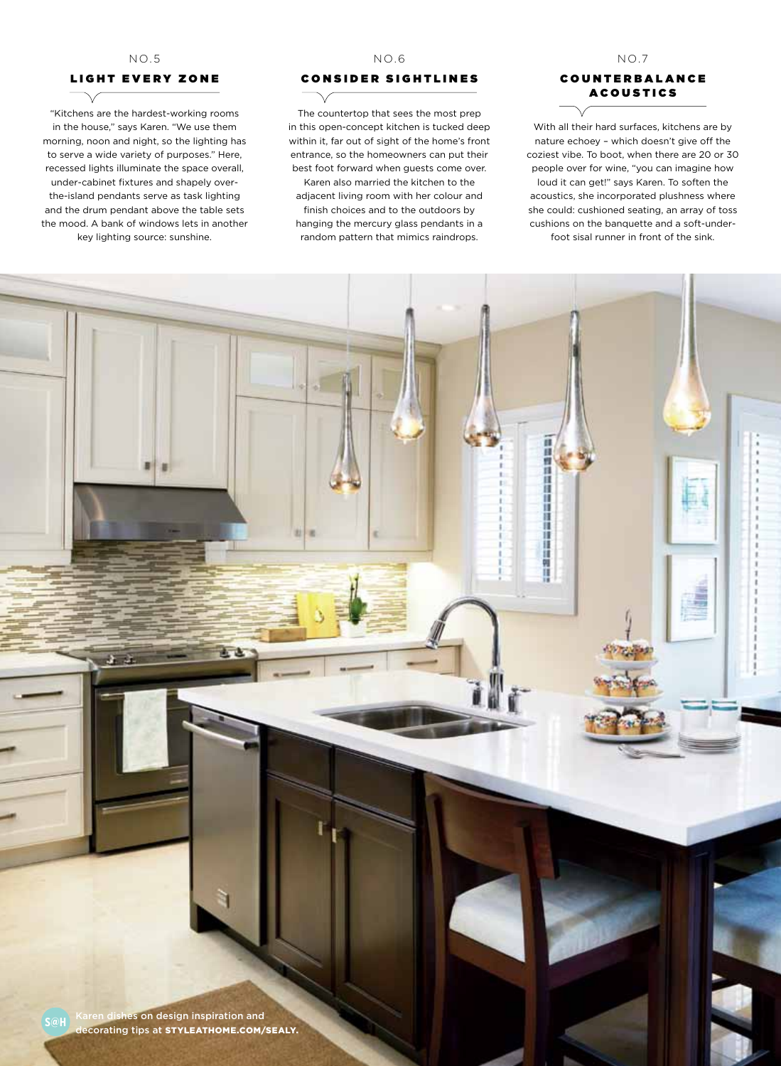#### no.5

# LIGHT EVERY ZONE

"Kitchens are the hardest-working rooms in the house," says Karen. "We use them morning, noon and night, so the lighting has to serve a wide variety of purposes." Here, recessed lights illuminate the space overall, under-cabinet fixtures and shapely overthe-island pendants serve as task lighting and the drum pendant above the table sets the mood. A bank of windows lets in another key lighting source: sunshine.

> в ×

#### no.6

### c onsider sightlines

The countertop that sees the most prep in this open-concept kitchen is tucked deep within it, far out of sight of the home's front entrance, so the homeowners can put their best foot forward when guests come over. Karen also married the kitchen to the adjacent living room with her colour and finish choices and to the outdoors by hanging the mercury glass pendants in a random pattern that mimics raindrops.

# **COUNTERBALANCE ACOUSTICS**

 $NO.7$ 

With all their hard surfaces, kitchens are by nature echoey – which doesn't give off the coziest vibe. To boot, when there are 20 or 30 people over for wine, "you can imagine how loud it can get!" says Karen. To soften the acoustics, she incorporated plushness where she could: cushioned seating, an array of toss cushions on the banquette and a soft-underfoot sisal runner in front of the sink.

建绿煤煤煤煤煤煤煤煤煤煤料煤

lishes on design inspiration and decorating tips at STYLEATHOME.COM/SEALY.